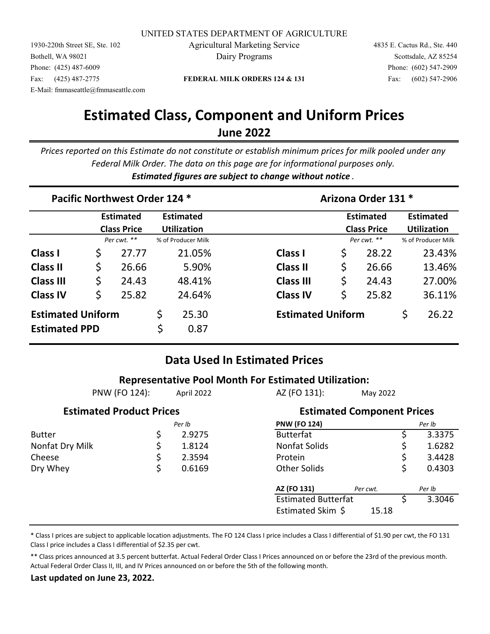UNITED STATES DEPARTMENT OF AGRICULTURE

E-Mail: fmmaseattle@fmmaseattle.com 1930-220th Street SE, Ste. 102 Agricultural Marketing Service 4835 E. Cactus Rd., Ste. 440 Bothell, WA 98021 Dairy Programs Scottsdale, AZ 85254 Phone: (425) 487-6009 Phone: (602) 547-2909 Fax: (425) 487-2775 **FEDERAL MILK ORDERS 124 & 131** Fax: (602) 547-2906

3.3046

## **Estimated Class, Component and Uniform Prices June 2022**

*Prices reported on this Estimate do not constitute or establish minimum prices for milk pooled under any Federal Milk Order. The data on this page are for informational purposes only. Estimated figures are subject to change without notice .*

|                                                  |                                        | Pacific Northwest Order 124 * |                                        |               | Arizona Order 131 * |                          |    |                                        |                                        |        |  |  |
|--------------------------------------------------|----------------------------------------|-------------------------------|----------------------------------------|---------------|---------------------|--------------------------|----|----------------------------------------|----------------------------------------|--------|--|--|
|                                                  | <b>Estimated</b><br><b>Class Price</b> |                               | <b>Estimated</b><br><b>Utilization</b> |               |                     |                          |    | <b>Estimated</b><br><b>Class Price</b> | <b>Estimated</b><br><b>Utilization</b> |        |  |  |
|                                                  |                                        | Per cwt. **                   | % of Producer Milk                     |               |                     |                          |    | Per cwt. **                            | % of Producer Milk                     |        |  |  |
| <b>Class I</b>                                   | \$                                     | 27.77                         |                                        | 21.05%        |                     | Class I                  | \$ | 28.22                                  |                                        | 23.43% |  |  |
| <b>Class II</b>                                  | \$                                     | 26.66                         |                                        | 5.90%         |                     | <b>Class II</b>          | \$ | 26.66                                  |                                        | 13.46% |  |  |
| <b>Class III</b>                                 | \$                                     | 24.43                         |                                        | 48.41%        |                     | <b>Class III</b>         | \$ | 24.43                                  |                                        | 27.00% |  |  |
| <b>Class IV</b>                                  | \$                                     | 25.82                         |                                        | 24.64%        |                     | <b>Class IV</b>          | \$ | 25.82                                  |                                        | 36.11% |  |  |
| <b>Estimated Uniform</b><br><b>Estimated PPD</b> |                                        |                               | \$<br>\$                               | 25.30<br>0.87 |                     | <b>Estimated Uniform</b> |    |                                        | \$                                     | 26.22  |  |  |

## **Data Used In Estimated Prices**

|                                 |    |            | <b>Representative Pool Month For Estimated Utilization:</b> |                                   |    |        |  |
|---------------------------------|----|------------|-------------------------------------------------------------|-----------------------------------|----|--------|--|
| PNW (FO 124):                   |    | April 2022 |                                                             | May 2022                          |    |        |  |
| <b>Estimated Product Prices</b> |    |            |                                                             | <b>Estimated Component Prices</b> |    |        |  |
|                                 |    | Per Ib     | <b>PNW (FO 124)</b>                                         |                                   |    | Per Ib |  |
| <b>Butter</b>                   | \$ | 2.9275     | <b>Butterfat</b>                                            |                                   |    | 3.3375 |  |
| Nonfat Dry Milk                 | \$ | 1.8124     | Nonfat Solids                                               |                                   |    | 1.6282 |  |
| Cheese                          | \$ | 2.3594     | Protein                                                     |                                   | \$ | 3.4428 |  |
| Dry Whey                        | \$ | 0.6169     | <b>Other Solids</b>                                         |                                   | \$ | 0.4303 |  |
|                                 |    |            | AZ (FO 131)                                                 | Per cwt.                          |    | Per Ib |  |
|                                 |    |            |                                                             | <b>Estimated Butterfat</b>        |    |        |  |
|                                 |    |            | Estimated Skim \$                                           | 15.18                             |    |        |  |

\* Class I prices are subject to applicable location adjustments. The FO 124 Class I price includes a Class I differential of \$1.90 per cwt, the FO 131 Class I price includes a Class I differential of \$2.35 per cwt.

\*\* Class prices announced at 3.5 percent butterfat. Actual Federal Order Class I Prices announced on or before the 23rd of the previous month. Actual Federal Order Class II, III, and IV Prices announced on or before the 5th of the following month.

**Last updated on June 23, 2022.**